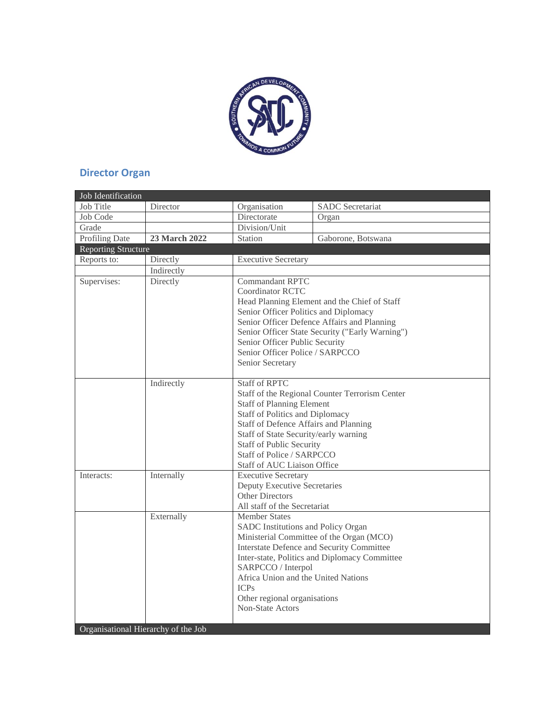

## **Director Organ**

| Job Identification         |                                                   |                                                                                                                                                                                                                                                                                                                                              |                                                                                                                                        |  |  |  |
|----------------------------|---------------------------------------------------|----------------------------------------------------------------------------------------------------------------------------------------------------------------------------------------------------------------------------------------------------------------------------------------------------------------------------------------------|----------------------------------------------------------------------------------------------------------------------------------------|--|--|--|
| <b>Job Title</b>           | Director                                          | Organisation                                                                                                                                                                                                                                                                                                                                 | <b>SADC</b> Secretariat                                                                                                                |  |  |  |
| Job Code                   |                                                   | Directorate                                                                                                                                                                                                                                                                                                                                  | Organ                                                                                                                                  |  |  |  |
| Grade                      |                                                   | Division/Unit                                                                                                                                                                                                                                                                                                                                |                                                                                                                                        |  |  |  |
| Profiling Date             | 23 March 2022                                     | Station                                                                                                                                                                                                                                                                                                                                      | Gaborone, Botswana                                                                                                                     |  |  |  |
| <b>Reporting Structure</b> |                                                   |                                                                                                                                                                                                                                                                                                                                              |                                                                                                                                        |  |  |  |
| Reports to:                | Directly<br><b>Executive Secretary</b>            |                                                                                                                                                                                                                                                                                                                                              |                                                                                                                                        |  |  |  |
|                            | Indirectly                                        |                                                                                                                                                                                                                                                                                                                                              |                                                                                                                                        |  |  |  |
| Supervises:                | Directly                                          | <b>Commandant RPTC</b><br><b>Coordinator RCTC</b><br>Head Planning Element and the Chief of Staff<br>Senior Officer Politics and Diplomacy<br>Senior Officer Defence Affairs and Planning<br>Senior Officer State Security ("Early Warning")<br>Senior Officer Public Security<br>Senior Officer Police / SARPCCO<br>Senior Secretary        |                                                                                                                                        |  |  |  |
|                            | Indirectly                                        | <b>Staff of RPTC</b><br>Staff of the Regional Counter Terrorism Center<br><b>Staff of Planning Element</b><br><b>Staff of Politics and Diplomacy</b><br>Staff of Defence Affairs and Planning<br>Staff of State Security/early warning<br><b>Staff of Public Security</b><br>Staff of Police / SARPCCO<br><b>Staff of AUC Liaison Office</b> |                                                                                                                                        |  |  |  |
| Interacts:                 | Internally                                        | <b>Executive Secretary</b><br><b>Deputy Executive Secretaries</b><br><b>Other Directors</b><br>All staff of the Secretariat                                                                                                                                                                                                                  |                                                                                                                                        |  |  |  |
|                            | Externally<br>Organisational Hierarchy of the Job | <b>Member States</b><br>SADC Institutions and Policy Organ<br>SARPCCO / Interpol<br>Africa Union and the United Nations<br><b>ICPs</b><br>Other regional organisations<br>Non-State Actors                                                                                                                                                   | Ministerial Committee of the Organ (MCO)<br>Interstate Defence and Security Committee<br>Inter-state, Politics and Diplomacy Committee |  |  |  |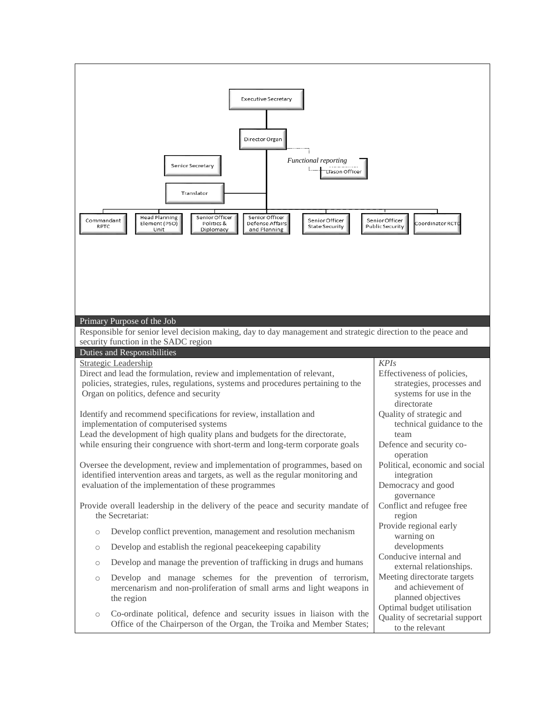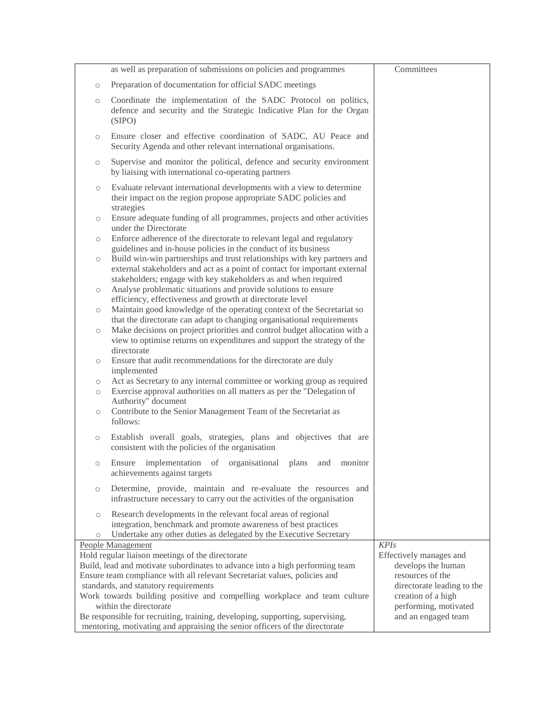|                     | as well as preparation of submissions on policies and programmes                                                                                                                                                          | Committees                             |
|---------------------|---------------------------------------------------------------------------------------------------------------------------------------------------------------------------------------------------------------------------|----------------------------------------|
| $\circ$             | Preparation of documentation for official SADC meetings                                                                                                                                                                   |                                        |
| $\bigcirc$          | Coordinate the implementation of the SADC Protocol on politics,<br>defence and security and the Strategic Indicative Plan for the Organ<br>(SIPO)                                                                         |                                        |
| $\circ$             | Ensure closer and effective coordination of SADC, AU Peace and<br>Security Agenda and other relevant international organisations.                                                                                         |                                        |
| $\bigcirc$          | Supervise and monitor the political, defence and security environment<br>by liaising with international co-operating partners                                                                                             |                                        |
| $\bigcirc$          | Evaluate relevant international developments with a view to determine<br>their impact on the region propose appropriate SADC policies and<br>strategies                                                                   |                                        |
| $\circlearrowright$ | Ensure adequate funding of all programmes, projects and other activities<br>under the Directorate                                                                                                                         |                                        |
| $\circ$             | Enforce adherence of the directorate to relevant legal and regulatory<br>guidelines and in-house policies in the conduct of its business                                                                                  |                                        |
| $\bigcirc$          | Build win-win partnerships and trust relationships with key partners and<br>external stakeholders and act as a point of contact for important external<br>stakeholders; engage with key stakeholders as and when required |                                        |
| $\circlearrowright$ | Analyse problematic situations and provide solutions to ensure                                                                                                                                                            |                                        |
| $\circlearrowright$ | efficiency, effectiveness and growth at directorate level<br>Maintain good knowledge of the operating context of the Secretariat so                                                                                       |                                        |
| $\circlearrowright$ | that the directorate can adapt to changing organisational requirements<br>Make decisions on project priorities and control budget allocation with a                                                                       |                                        |
|                     | view to optimise returns on expenditures and support the strategy of the<br>directorate                                                                                                                                   |                                        |
| $\circ$             | Ensure that audit recommendations for the directorate are duly<br>implemented                                                                                                                                             |                                        |
| $\circlearrowright$ | Act as Secretary to any internal committee or working group as required                                                                                                                                                   |                                        |
| $\circlearrowright$ | Exercise approval authorities on all matters as per the "Delegation of<br>Authority" document                                                                                                                             |                                        |
| $\bigcirc$          | Contribute to the Senior Management Team of the Secretariat as<br>follows:                                                                                                                                                |                                        |
| $\bigcirc$          | Establish overall goals, strategies, plans and objectives that are<br>consistent with the policies of the organisation                                                                                                    |                                        |
| $\bigcirc$          | implementation of organisational plans<br>Ensure<br>and<br>monitor<br>achievements against targets                                                                                                                        |                                        |
| $\circ$             | Determine, provide, maintain and re-evaluate the resources and<br>infrastructure necessary to carry out the activities of the organisation                                                                                |                                        |
| $\circlearrowright$ | Research developments in the relevant focal areas of regional<br>integration, benchmark and promote awareness of best practices                                                                                           |                                        |
| $\circ$             | Undertake any other duties as delegated by the Executive Secretary                                                                                                                                                        |                                        |
|                     | <b>People Management</b><br>Hold regular liaison meetings of the directorate                                                                                                                                              | <b>KPIs</b><br>Effectively manages and |
|                     | Build, lead and motivate subordinates to advance into a high performing team                                                                                                                                              | develops the human                     |
|                     | Ensure team compliance with all relevant Secretariat values, policies and                                                                                                                                                 | resources of the                       |
|                     | standards, and statutory requirements                                                                                                                                                                                     | directorate leading to the             |
|                     | Work towards building positive and compelling workplace and team culture                                                                                                                                                  | creation of a high                     |
|                     | within the directorate                                                                                                                                                                                                    | performing, motivated                  |
|                     | Be responsible for recruiting, training, developing, supporting, supervising,<br>mentoring, motivating and appraising the senior officers of the directorate                                                              | and an engaged team                    |
|                     |                                                                                                                                                                                                                           |                                        |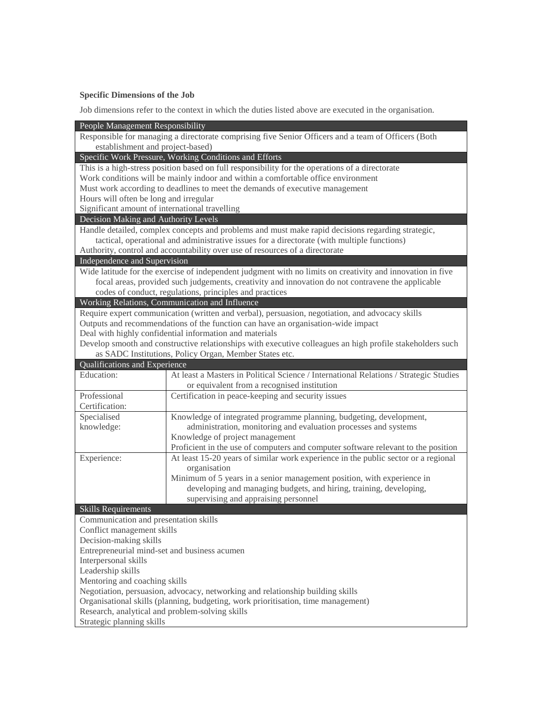## **Specific Dimensions of the Job**

Job dimensions refer to the context in which the duties listed above are executed in the organisation.

| People Management Responsibility                                                                    |                                                                                                                                      |  |  |  |
|-----------------------------------------------------------------------------------------------------|--------------------------------------------------------------------------------------------------------------------------------------|--|--|--|
| Responsible for managing a directorate comprising five Senior Officers and a team of Officers (Both |                                                                                                                                      |  |  |  |
| establishment and project-based)                                                                    |                                                                                                                                      |  |  |  |
| Specific Work Pressure, Working Conditions and Efforts                                              |                                                                                                                                      |  |  |  |
| This is a high-stress position based on full responsibility for the operations of a directorate     |                                                                                                                                      |  |  |  |
| Work conditions will be mainly indoor and within a comfortable office environment                   |                                                                                                                                      |  |  |  |
| Must work according to deadlines to meet the demands of executive management                        |                                                                                                                                      |  |  |  |
| Hours will often be long and irregular                                                              |                                                                                                                                      |  |  |  |
| Significant amount of international travelling                                                      |                                                                                                                                      |  |  |  |
| Decision Making and Authority Levels                                                                |                                                                                                                                      |  |  |  |
| Handle detailed, complex concepts and problems and must make rapid decisions regarding strategic,   |                                                                                                                                      |  |  |  |
| tactical, operational and administrative issues for a directorate (with multiple functions)         |                                                                                                                                      |  |  |  |
| Authority, control and accountability over use of resources of a directorate                        |                                                                                                                                      |  |  |  |
| Independence and Supervision                                                                        |                                                                                                                                      |  |  |  |
|                                                                                                     | Wide latitude for the exercise of independent judgment with no limits on creativity and innovation in five                           |  |  |  |
|                                                                                                     | focal areas, provided such judgements, creativity and innovation do not contravene the applicable                                    |  |  |  |
|                                                                                                     | codes of conduct, regulations, principles and practices                                                                              |  |  |  |
|                                                                                                     | Working Relations, Communication and Influence                                                                                       |  |  |  |
|                                                                                                     | Require expert communication (written and verbal), persuasion, negotiation, and advocacy skills                                      |  |  |  |
| Outputs and recommendations of the function can have an organisation-wide impact                    |                                                                                                                                      |  |  |  |
| Deal with highly confidential information and materials                                             |                                                                                                                                      |  |  |  |
|                                                                                                     | Develop smooth and constructive relationships with executive colleagues an high profile stakeholders such                            |  |  |  |
|                                                                                                     | as SADC Institutions, Policy Organ, Member States etc.                                                                               |  |  |  |
| Qualifications and Experience                                                                       |                                                                                                                                      |  |  |  |
| Education:                                                                                          | At least a Masters in Political Science / International Relations / Strategic Studies                                                |  |  |  |
|                                                                                                     | or equivalent from a recognised institution                                                                                          |  |  |  |
| Professional                                                                                        | Certification in peace-keeping and security issues                                                                                   |  |  |  |
| Certification:                                                                                      |                                                                                                                                      |  |  |  |
| Specialised                                                                                         | Knowledge of integrated programme planning, budgeting, development,                                                                  |  |  |  |
| knowledge:                                                                                          | administration, monitoring and evaluation processes and systems                                                                      |  |  |  |
|                                                                                                     | Knowledge of project management                                                                                                      |  |  |  |
|                                                                                                     | Proficient in the use of computers and computer software relevant to the position                                                    |  |  |  |
| Experience:                                                                                         | At least 15-20 years of similar work experience in the public sector or a regional                                                   |  |  |  |
|                                                                                                     | organisation                                                                                                                         |  |  |  |
|                                                                                                     | Minimum of 5 years in a senior management position, with experience in                                                               |  |  |  |
|                                                                                                     | developing and managing budgets, and hiring, training, developing,                                                                   |  |  |  |
|                                                                                                     | supervising and appraising personnel                                                                                                 |  |  |  |
| <b>Skills Requirements</b>                                                                          |                                                                                                                                      |  |  |  |
| Communication and presentation skills                                                               |                                                                                                                                      |  |  |  |
| Conflict management skills                                                                          |                                                                                                                                      |  |  |  |
| Decision-making skills                                                                              |                                                                                                                                      |  |  |  |
| Entrepreneurial mind-set and business acumen                                                        |                                                                                                                                      |  |  |  |
| Interpersonal skills                                                                                |                                                                                                                                      |  |  |  |
| Leadership skills                                                                                   |                                                                                                                                      |  |  |  |
| Mentoring and coaching skills                                                                       |                                                                                                                                      |  |  |  |
| Negotiation, persuasion, advocacy, networking and relationship building skills                      |                                                                                                                                      |  |  |  |
|                                                                                                     | Organisational skills (planning, budgeting, work prioritisation, time management)<br>Research, analytical and problem-solving skills |  |  |  |
|                                                                                                     |                                                                                                                                      |  |  |  |
| Strategic planning skills                                                                           |                                                                                                                                      |  |  |  |